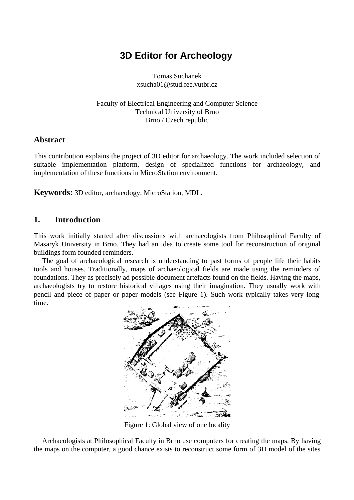# **3D Editor for Archeology**

Tomas Suchanek xsucha01@stud.fee.vutbr.cz

Faculty of Electrical Engineering and Computer Science Technical University of Brno Brno / Czech republic

#### **Abstract**

This contribution explains the project of 3D editor for archaeology. The work included selection of suitable implementation platform, design of specialized functions for archaeology, and implementation of these functions in MicroStation environment.

**Keywords:** 3D editor, archaeology, MicroStation, MDL.

#### **1. Introduction**

This work initially started after discussions with archaeologists from Philosophical Faculty of Masaryk University in Brno. They had an idea to create some tool for reconstruction of original buildings form founded reminders.

The goal of archaeological research is understanding to past forms of people life their habits tools and houses. Traditionally, maps of archaeological fields are made using the reminders of foundations. They as precisely ad possible document artefacts found on the fields. Having the maps, archaeologists try to restore historical villages using their imagination. They usually work with pencil and piece of paper or paper models (see Figure 1). Such work typically takes very long time.



Figure 1: Global view of one locality

Archaeologists at Philosophical Faculty in Brno use computers for creating the maps. By having the maps on the computer, a good chance exists to reconstruct some form of 3D model of the sites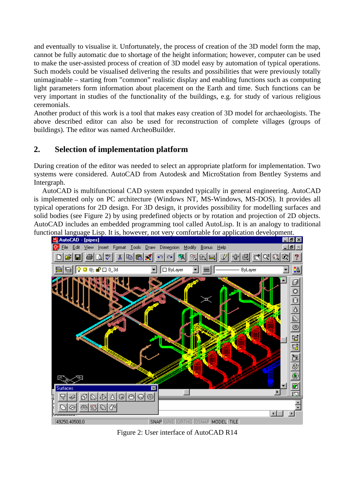and eventually to visualise it. Unfortunately, the process of creation of the 3D model form the map, cannot be fully automatic due to shortage of the height information; however, computer can be used to make the user-assisted process of creation of 3D model easy by automation of typical operations. Such models could be visualised delivering the results and possibilities that were previously totally unimaginable – starting from "common" realistic display and enabling functions such as computing light parameters form information about placement on the Earth and time. Such functions can be very important in studies of the functionality of the buildings, e.g. for study of various religious ceremonials.

Another product of this work is a tool that makes easy creation of 3D model for archaeologists. The above described editor can also be used for reconstruction of complete villages (groups of buildings). The editor was named ArcheoBuilder.

## **2. Selection of implementation platform**

During creation of the editor was needed to select an appropriate platform for implementation. Two systems were considered. AutoCAD from Autodesk and MicroStation from Bentley Systems and Intergraph.

AutoCAD is multifunctional CAD system expanded typically in general engineering. AutoCAD is implemented only on PC architecture (Windows NT, MS-Windows, MS-DOS). It provides all typical operations for 2D design. For 3D design, it provides possibility for modelling surfaces and solid bodies (see Figure 2) by using predefined objects or by rotation and projection of 2D objects. AutoCAD includes an embedded programming tool called AutoLisp. It is an analogy to traditional functional language Lisp. It is, however, not very comfortable for application development.



Figure 2: User interface of AutoCAD R14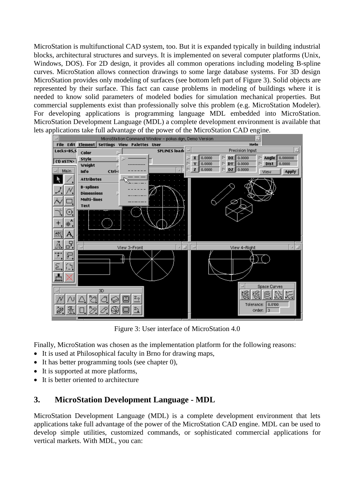MicroStation is multifunctional CAD system, too. But it is expanded typically in building industrial blocks, architectural structures and surveys. It is implemented on several computer platforms (Unix, Windows, DOS). For 2D design, it provides all common operations including modeling B-spline curves. MicroStation allows connection drawings to some large database systems. For 3D design MicroStation provides only modeling of surfaces (see bottom left part of Figure 3). Solid objects are represented by their surface. This fact can cause problems in modeling of buildings where it is needed to know solid parameters of modeled bodies for simulation mechanical properties. But commercial supplements exist than professionally solve this problem (e.g. MicroStation Modeler). For developing applications is programming language MDL embedded into MicroStation. MicroStation Development Language (MDL) a complete development environment is available that lets applications take full advantage of the power of the MicroStation CAD engine.



Figure 3: User interface of MicroStation 4.0

Finally, MicroStation was chosen as the implementation platform for the following reasons:

- It is used at Philosophical faculty in Brno for drawing maps,
- $\bullet$  It has better programming tools (see chapter 0),
- It is supported at more platforms,
- It is better oriented to architecture

## **3. MicroStation Development Language - MDL**

MicroStation Development Language (MDL) is a complete development environment that lets applications take full advantage of the power of the MicroStation CAD engine. MDL can be used to develop simple utilities, customized commands, or sophisticated commercial applications for vertical markets. With MDL, you can: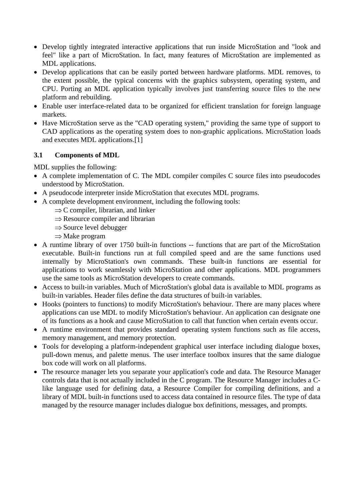- Develop tightly integrated interactive applications that run inside MicroStation and "look and feel" like a part of MicroStation. In fact, many features of MicroStation are implemented as MDL applications.
- Develop applications that can be easily ported between hardware platforms. MDL removes, to the extent possible, the typical concerns with the graphics subsystem, operating system, and CPU. Porting an MDL application typically involves just transferring source files to the new platform and rebuilding.
- Enable user interface-related data to be organized for efficient translation for foreign language markets.
- Have MicroStation serve as the "CAD operating system," providing the same type of support to CAD applications as the operating system does to non-graphic applications. MicroStation loads and executes MDL applications.[1]

#### **3.1 Components of MDL**

MDL supplies the following:

- A complete implementation of C. The MDL compiler compiles C source files into pseudocodes understood by MicroStation.
- A pseudocode interpreter inside MicroStation that executes MDL programs.
- A complete development environment, including the following tools:
	- $\Rightarrow$  C compiler, librarian, and linker
	- $\Rightarrow$  Resource compiler and librarian
	- $\Rightarrow$  Source level debugger
	- $\Rightarrow$  Make program
- A runtime library of over 1750 built-in functions -- functions that are part of the MicroStation executable. Built-in functions run at full compiled speed and are the same functions used internally by MicroStation's own commands. These built-in functions are essential for applications to work seamlessly with MicroStation and other applications. MDL programmers use the same tools as MicroStation developers to create commands.
- Access to built-in variables. Much of MicroStation's global data is available to MDL programs as built-in variables. Header files define the data structures of built-in variables.
- Hooks (pointers to functions) to modify MicroStation's behaviour. There are many places where applications can use MDL to modify MicroStation's behaviour. An application can designate one of its functions as a hook and cause MicroStation to call that function when certain events occur.
- A runtime environment that provides standard operating system functions such as file access, memory management, and memory protection.
- Tools for developing a platform-independent graphical user interface including dialogue boxes, pull-down menus, and palette menus. The user interface toolbox insures that the same dialogue box code will work on all platforms.
- The resource manager lets you separate your application's code and data. The Resource Manager controls data that is not actually included in the C program. The Resource Manager includes a Clike language used for defining data, a Resource Compiler for compiling definitions, and a library of MDL built-in functions used to access data contained in resource files. The type of data managed by the resource manager includes dialogue box definitions, messages, and prompts.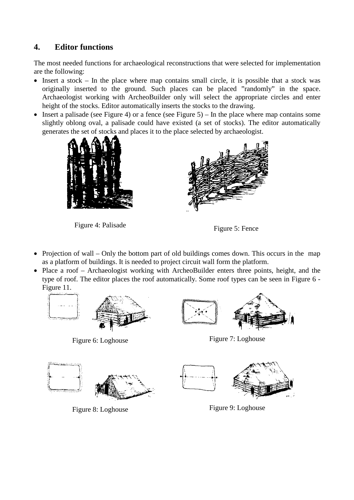# **4. Editor functions**

The most needed functions for archaeological reconstructions that were selected for implementation are the following:

- $\bullet$  Insert a stock In the place where map contains small circle, it is possible that a stock was originally inserted to the ground. Such places can be placed "randomly" in the space. Archaeologist working with ArcheoBuilder only will select the appropriate circles and enter height of the stocks. Editor automatically inserts the stocks to the drawing.
- Insert a palisade (see Figure 4) or a fence (see Figure 5) In the place where map contains some slightly oblong oval, a palisade could have existed (a set of stocks). The editor automatically generates the set of stocks and places it to the place selected by archaeologist.



Figure 4: Palisade Figure 5: Fence



- Projection of wall Only the bottom part of old buildings comes down. This occurs in the map as a platform of buildings. It is needed to project circuit wall form the platform.
- Place a roof Archaeologist working with ArcheoBuilder enters three points, height, and the type of roof. The editor places the roof automatically. Some roof types can be seen in Figure 6 - Figure 11.





Figure 8: Loghouse Figure 9: Loghouse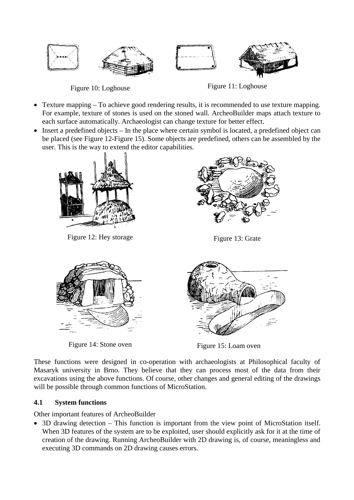

Figure 10: Loghouse Figure 11: Loghouse

- Texture mapping To achieve good rendering results, it is recommended to use texture mapping. For example, texture of stones is used on the stoned wall. ArcheoBuilder maps attach texture to each surface automatically. Archaeologist can change texture for better effect.
- Insert a predefined objects In the place where certain symbol is located, a predefined object can be placed (see Figure 12-Figure 15). Some objects are predefined, others can be assembled by the user. This is the way to extend the editor capabilities.



Figure 12: Hey storage Figure 13: Grate





Figure 14: Stone oven Figure 15: Loam oven

These functions were designed in co-operation with archaeologists at Philosophical faculty of Masaryk university in Brno. They believe that they can process most of the data from their excavations using the above functions. Of course, other changes and general editing of the drawings will be possible through common functions of MicroStation.

## **4.1 System functions**

Other important features of ArcheoBuilder

 3D drawing detection – This function is important from the view point of MicroStation itself. When 3D features of the system are to be exploited, user should explicitly ask for it at the time of creation of the drawing. Running ArcheoBuilder with 2D drawing is, of course, meaningless and executing 3D commands on 2D drawing causes errors.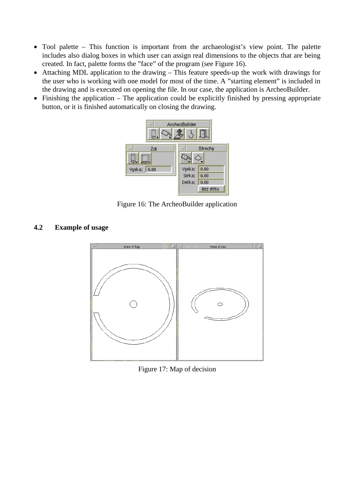- Tool palette This function is important from the archaeologist's view point. The palette includes also dialog boxes in which user can assign real dimensions to the objects that are being created. In fact, palette forms the "face" of the program (see Figure 16).
- Attaching MDL application to the drawing This feature speeds-up the work with drawings for the user who is working with one model for most of the time. A "starting element" is included in the drawing and is executed on opening the file. In our case, the application is ArcheoBuilder.
- Finishing the application The application could be explicitly finished by pressing appropriate button, or it is finished automatically on closing the drawing.



Figure 16: The ArcheoBuilder application

**4.2 Example of usage**



Figure 17: Map of decision